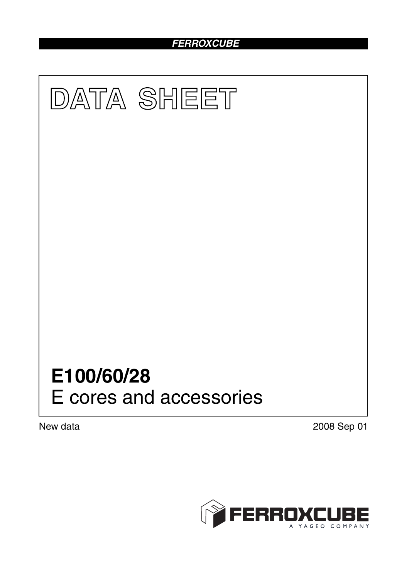# *FERROXCUBE*



New data 2008 Sep 01

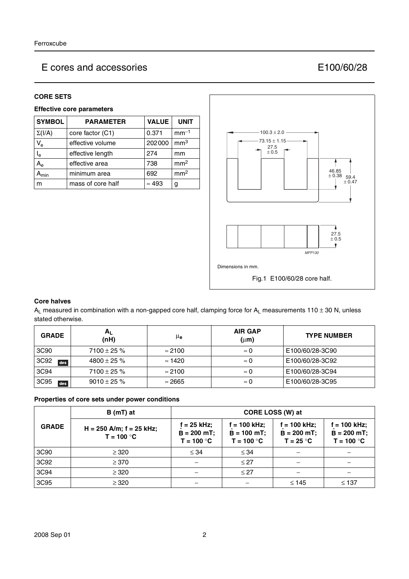## E cores and accessories E100/60/28

### **CORE SETS**

## **Effective core parameters**

| <b>SYMBOL</b>             | <b>PARAMETER</b>  | <b>VALUE</b>  | <b>UNIT</b>     |
|---------------------------|-------------------|---------------|-----------------|
| $\Sigma(I/A)$             | core factor (C1)  | 0.371         | $mm-1$          |
| $V_{\rm e}$               | effective volume  | 202000        | mm <sup>3</sup> |
| $I_e$                     | effective length  | 274           | mm              |
| $A_{e}$                   | effective area    | 738           | mm <sup>2</sup> |
| $\mathbf{A}_{\text{min}}$ | minimum area      | 692           | mm <sup>2</sup> |
| m                         | mass of core half | $\approx 493$ | g               |



#### **Core halves**

A<sub>L</sub> measured in combination with a non-gapped core half, clamping force for A<sub>L</sub> measurements 110 ± 30 N, unless stated otherwise.

| <b>GRADE</b> | $A_{L}$<br>(nH)  | μe             | <b>AIR GAP</b><br>$(\mu m)$ | <b>TYPE NUMBER</b> |
|--------------|------------------|----------------|-----------------------------|--------------------|
| 3C90         | $7100 \pm 25 \%$ | $\approx$ 2100 | $\approx 0$                 | E100/60/28-3C90    |
| 3C92<br>des  | $4800 \pm 25 \%$ | $\approx$ 1420 | $\approx 0$                 | E100/60/28-3C92    |
| 3C94         | $7100 \pm 25 \%$ | $\approx$ 2100 | $\approx 0$                 | E100/60/28-3C94    |
| 3C95<br>des  | $9010 \pm 25 \%$ | $\approx$ 2665 | $\approx 0$                 | E100/60/28-3C95    |

#### **Properties of core sets under power conditions**

|              | $B(mT)$ at                                   | CORE LOSS (W) at                               |                                                 |                                                |                                               |
|--------------|----------------------------------------------|------------------------------------------------|-------------------------------------------------|------------------------------------------------|-----------------------------------------------|
| <b>GRADE</b> | $H = 250$ A/m; $f = 25$ kHz;<br>$T = 100 °C$ | $f = 25$ kHz;<br>$B = 200$ mT;<br>$T = 100 °C$ | $f = 100$ kHz;<br>$B = 100$ mT;<br>$T = 100 °C$ | $f = 100$ kHz;<br>$B = 200$ mT;<br>$T = 25 °C$ | f = 100 kHz;<br>$B = 200$ mT;<br>$T = 100 °C$ |
| 3C90         | $\geq$ 320                                   | $\leq 34$                                      | $\leq 34$                                       |                                                |                                               |
| 3C92         | $\geq$ 370                                   |                                                | $\leq$ 27                                       |                                                |                                               |
| 3C94         | $\geq 320$                                   |                                                | $\leq$ 27                                       |                                                |                                               |
| 3C95         | $\geq 320$                                   |                                                |                                                 | $\leq 145$                                     | $\leq 137$                                    |